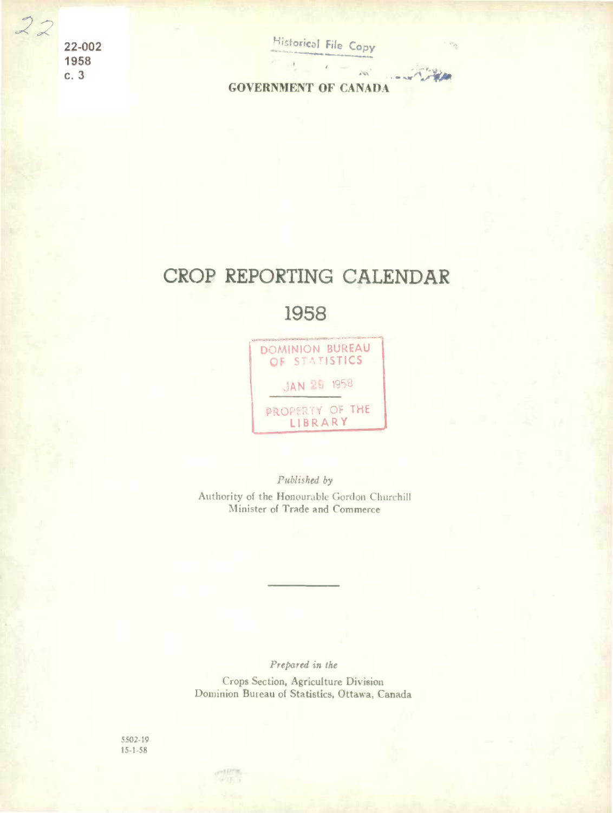22-002 1958  $c.3$ 

 $\frac{1}{2}$ 

**Historical File Copy** 

 $\mathcal{L}_{\text{min}}$ 

 $\sim$ 

**GOVERNMENT OF CANADA** 

## CROP REPORTING CALENDAR

1958



Published by Authority of the Honourable Gordon Churchill Minister of Trade and Commerce

Prepared in the Crops Section, Agriculture Division Dominion Bureau of Statistics, Ottawa, Canada

5502-19  $15 - 1 - 58$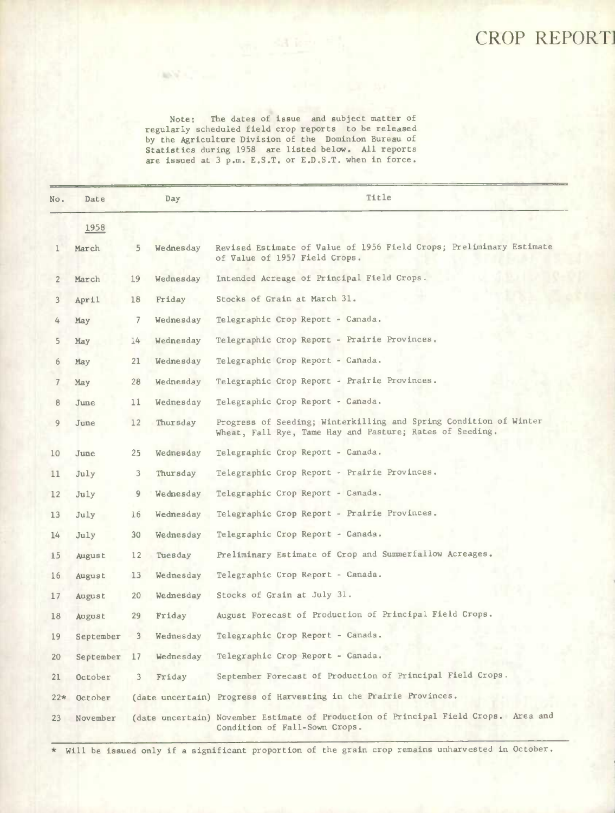## CROP REPORT]

Note: The dates of issue and subject matter of regularly scheduled field crop reports to be released by the Agriculture Division of the Dominion Bureau of Statistics during 1958 are listed below. All reports are issued at 3 p.m. E.S.T. or E.D,S.T. when in force.

| No.             | Date      |                 | Day       | Title                                                                                                                         |
|-----------------|-----------|-----------------|-----------|-------------------------------------------------------------------------------------------------------------------------------|
|                 | 1958      |                 |           |                                                                                                                               |
| 1               | March     | 5.              | Wednesday | Revised Estimate of Value of 1956 Field Crops; Preliminary Estimate<br>of Value of 1957 Field Crops.                          |
| $\overline{2}$  | March     | 19              | Wednesday | Intended Acreage of Principal Field Crops.                                                                                    |
| 3               | April     | 18              | Friday    | Stocks of Grain at March 31.                                                                                                  |
| 4               | May       | $\overline{7}$  | Wednesday | Telegraphic Crop Report - Canada.                                                                                             |
| 5               | May       | 14 <sup>5</sup> | Wednesday | Telegraphic Crop Report - Prairie Provinces.                                                                                  |
| 6               | May       | 21              | Wednesday | Telegraphic Crop Report - Canada.                                                                                             |
| $\overline{7}$  | May       | 28              | Wednesday | Telegraphic Crop Report - Prairie Provinces.                                                                                  |
| 8               | June      | 11              | Wednesday | Telegraphic Crop Report - Canada.                                                                                             |
| 9               | June      | 12              | Thursday  | Progress of Seeding; Winterkilling and Spring Condition of Winter<br>Wheat, Fall Rye, Tame Hay and Pasture; Rates of Seeding. |
| 10              | June      | 25              | Wednesday | Telegraphic Crop Report - Canada.                                                                                             |
| 11              | July      | 3               | Thursday  | Telegraphic Crop Report - Prairie Provinces.                                                                                  |
| 12              | July      | 9               | Wednesday | Telegraphic Crop Report - Canada.                                                                                             |
| 13 <sup>1</sup> | July      | 16              | Wednesday | Telegraphic Crop Report - Prairie Provinces.                                                                                  |
| 14              | July      | 30              | Wednesday | Telegraphic Crop Report - Canada.                                                                                             |
| 15              | August    | 12              | Tuesday   | Preliminary Estimate of Crop and Summerfallow Acreages.                                                                       |
| 16              | August    | 13              | Wednesday | Telegraphic Crop Report - Canada.                                                                                             |
| 17              | August    | 20              | Wednesday | Stocks of Grain at July 31.                                                                                                   |
| 18              | August    | 29              | Friday    | August Forecast of Production of Principal Field Crops.                                                                       |
| 19              | September | 3               | Wednesday | Telegraphic Crop Report - Canada.                                                                                             |
| 20              | September | 17              | Wednesday | Telegraphic Crop Report - Canada.                                                                                             |
| 21              | October   | З.              | Friday    | September Forecast of Production of Principal Field Crops.                                                                    |
| $22*$           | October   |                 |           | (date uncertain) Progress of Harvesting in the Prairie Provinces.                                                             |
| 23              | November  |                 |           | (date uncertain) November Estimate of Production of Principal Field Crops. Area and<br>Condition of Fall-Sown Crops.          |

\* Will be issued only if a significant proportion of the grain crop remains unharvested in October.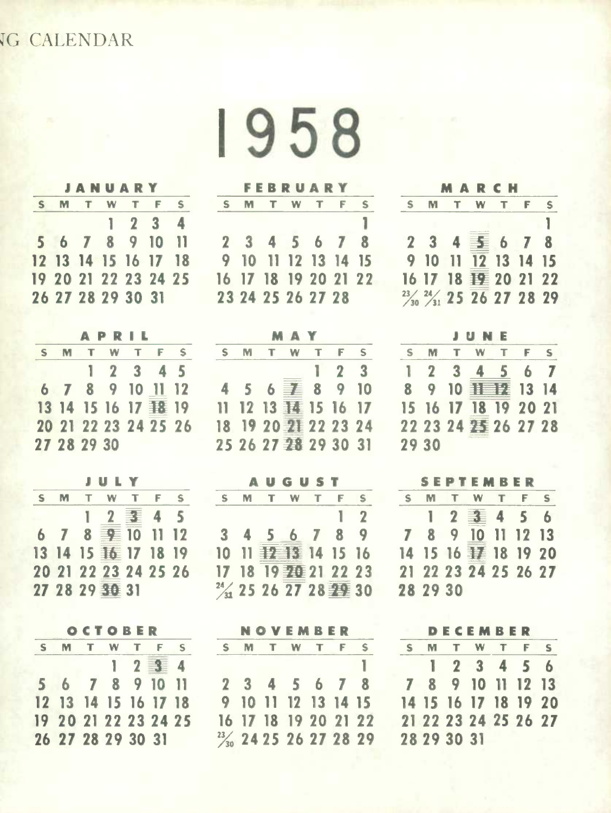## **G CALENDAR**

**1958** 

|  | <b>JANUARY</b>       |         |          |
|--|----------------------|---------|----------|
|  | S M T W T F          |         | $\sim$ S |
|  |                      | 1 2 3 4 |          |
|  | 5 6 7 8 9 10 11      |         |          |
|  | 12 13 14 15 16 17 18 |         |          |
|  | 19 20 21 22 23 24 25 |         |          |
|  | 26 27 28 29 30 31    |         |          |

|             | APRIL                |  |  |
|-------------|----------------------|--|--|
|             | S M T W T F S        |  |  |
|             | $1 \t2 \t3 \t4 \t5$  |  |  |
|             | 6 7 8 9 10 11 12     |  |  |
|             | 13 14 15 16 17 12 19 |  |  |
|             | 20 21 22 23 24 25 26 |  |  |
| 27 28 29 30 |                      |  |  |

|     | <b>JULY</b>               |  |              |
|-----|---------------------------|--|--------------|
| S M | TWTF                      |  | $\mathsf{s}$ |
|     | 12事45                     |  |              |
|     | $6$ 7 8 $\equiv$ 10 11 12 |  |              |
|     | 13 14 15 16 17 18 19      |  |              |
|     | 20 21 22 23 24 25 26      |  |              |
|     | 27 28 29 30 31            |  |              |
|     |                           |  |              |

|   |                      | OCTOBER   |      |   |
|---|----------------------|-----------|------|---|
| S |                      | M T W T F |      | S |
|   |                      |           | 1234 |   |
|   | 5 6 7 8 9 10 11      |           |      |   |
|   | 12 13 14 15 16 17 18 |           |      |   |
|   | 19 20 21 22 23 24 25 |           |      |   |
|   | 26 27 28 29 30 31    |           |      |   |

|    |  | <b>FEBRUARY</b>      |  |  |
|----|--|----------------------|--|--|
| S. |  | M T W T F            |  |  |
|    |  |                      |  |  |
|    |  | 2 3 4 5 6 7 8        |  |  |
|    |  | 9 10 11 12 13 14 15  |  |  |
|    |  | 16 17 18 19 20 21 22 |  |  |
|    |  | 23 24 25 26 27 28    |  |  |

| <b>MAY</b> |  |                      |  |             |   |  |  |  |
|------------|--|----------------------|--|-------------|---|--|--|--|
|            |  | M T W T F            |  |             | S |  |  |  |
|            |  |                      |  | $1 \t2 \t3$ |   |  |  |  |
|            |  | 4 5 6 7 8 9 10       |  |             |   |  |  |  |
|            |  |                      |  |             |   |  |  |  |
|            |  | 18 19 20 21 22 23 24 |  |             |   |  |  |  |
|            |  | 25 26 27 28 29 30 31 |  |             |   |  |  |  |

|   |  | <b>AUGUST</b>        |            |    |
|---|--|----------------------|------------|----|
| S |  | M T W T F            |            | S. |
|   |  |                      | $1\quad 2$ |    |
|   |  | 3 4 5 6 7 8 9        |            |    |
|   |  | 10 11 12 13 14 15 16 |            |    |
|   |  | 17 18 19 20 21 22 23 |            |    |
|   |  | 24 25 26 27 28 29 30 |            |    |

|  | NOVEMBER                            |  |  |
|--|-------------------------------------|--|--|
|  | S M T W T F S                       |  |  |
|  |                                     |  |  |
|  | 2 3 4 5 6 7 8                       |  |  |
|  | 9 10 11 12 13 14 15                 |  |  |
|  | 16 17 18 19 20 21 22                |  |  |
|  | 23/ <sub>30</sub> 24 25 26 27 28 29 |  |  |

|   | MARCH                                          |  |  |
|---|------------------------------------------------|--|--|
| S | M T W T F S                                    |  |  |
|   |                                                |  |  |
|   | 2 3 4 季 6 7 8                                  |  |  |
|   | 9 10 11 12 13 14 15                            |  |  |
|   | 16 17 18 壅 20 21 22                            |  |  |
|   | $\frac{23}{40}$ $\frac{24}{31}$ 25 26 27 28 29 |  |  |

|    |       | JUNE                 |  |  |
|----|-------|----------------------|--|--|
| S  |       | T W T                |  |  |
| 1. |       | 2 3 4 5 6 7          |  |  |
| 8  |       | 9 10 丰丰县 13 14       |  |  |
|    |       | 15 16 17 18 19 20 21 |  |  |
|    |       | 22 23 24 25 26 27 28 |  |  |
|    | 29 30 |                      |  |  |

|          |           | SEPTEMBER            |                         |
|----------|-----------|----------------------|-------------------------|
|          | M T W T F |                      | $\overline{\mathbf{s}}$ |
|          |           | 1 2 3 4 5 6          |                         |
|          |           | 7 8 9 10 11 12 13    |                         |
|          |           | 14 15 16 手 18 19 20  |                         |
|          |           | 21 22 23 24 25 26 27 |                         |
| 28 29 30 |           |                      |                         |

|  | DECEMBER                |  |  |
|--|-------------------------|--|--|
|  | S M T W T F S           |  |  |
|  | $1 \t2 \t3 \t4 \t5 \t6$ |  |  |
|  | 7 8 9 10 11 12 13       |  |  |
|  | 14 15 16 17 18 19 20    |  |  |
|  | 21 22 23 24 25 26 27    |  |  |
|  | 28 29 30 31             |  |  |